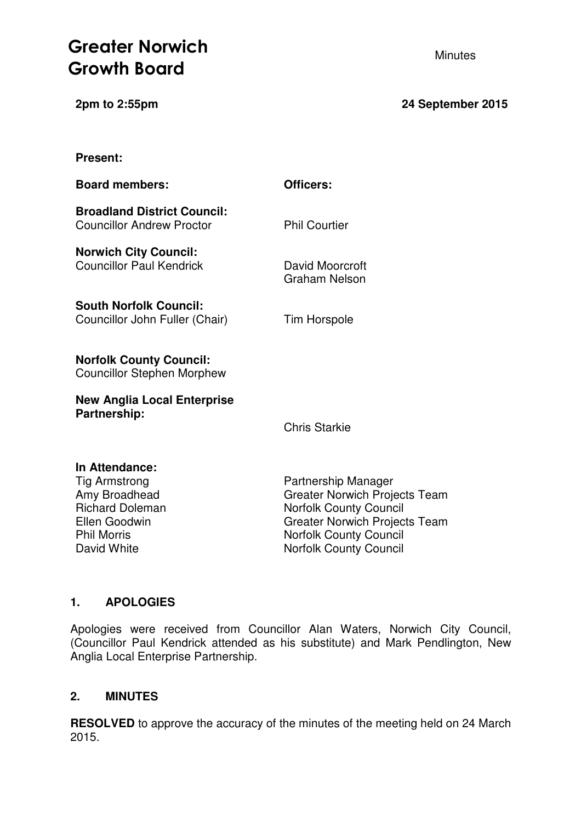# **Greater Norwich**  Minutes **Growth Board**

**Present:**

**2pm to 2:55pm 24 September 2015**

| <b>Board members:</b>                                                                                                                   | Officers:                                                                                                                                                                                              |
|-----------------------------------------------------------------------------------------------------------------------------------------|--------------------------------------------------------------------------------------------------------------------------------------------------------------------------------------------------------|
| <b>Broadland District Council:</b><br><b>Councillor Andrew Proctor</b>                                                                  | <b>Phil Courtier</b>                                                                                                                                                                                   |
| <b>Norwich City Council:</b><br><b>Councillor Paul Kendrick</b>                                                                         | David Moorcroft<br><b>Graham Nelson</b>                                                                                                                                                                |
| <b>South Norfolk Council:</b><br>Councillor John Fuller (Chair)                                                                         | <b>Tim Horspole</b>                                                                                                                                                                                    |
| <b>Norfolk County Council:</b><br><b>Councillor Stephen Morphew</b>                                                                     |                                                                                                                                                                                                        |
| <b>New Anglia Local Enterprise</b><br>Partnership:                                                                                      |                                                                                                                                                                                                        |
|                                                                                                                                         | <b>Chris Starkie</b>                                                                                                                                                                                   |
| In Attendance:<br><b>Tig Armstrong</b><br>Amy Broadhead<br><b>Richard Doleman</b><br>Ellen Goodwin<br><b>Phil Morris</b><br>David White | Partnership Manager<br><b>Greater Norwich Projects Team</b><br><b>Norfolk County Council</b><br><b>Greater Norwich Projects Team</b><br><b>Norfolk County Council</b><br><b>Norfolk County Council</b> |

# **1. APOLOGIES**

Apologies were received from Councillor Alan Waters, Norwich City Council, (Councillor Paul Kendrick attended as his substitute) and Mark Pendlington, New Anglia Local Enterprise Partnership.

# **2. MINUTES**

**RESOLVED** to approve the accuracy of the minutes of the meeting held on 24 March 2015.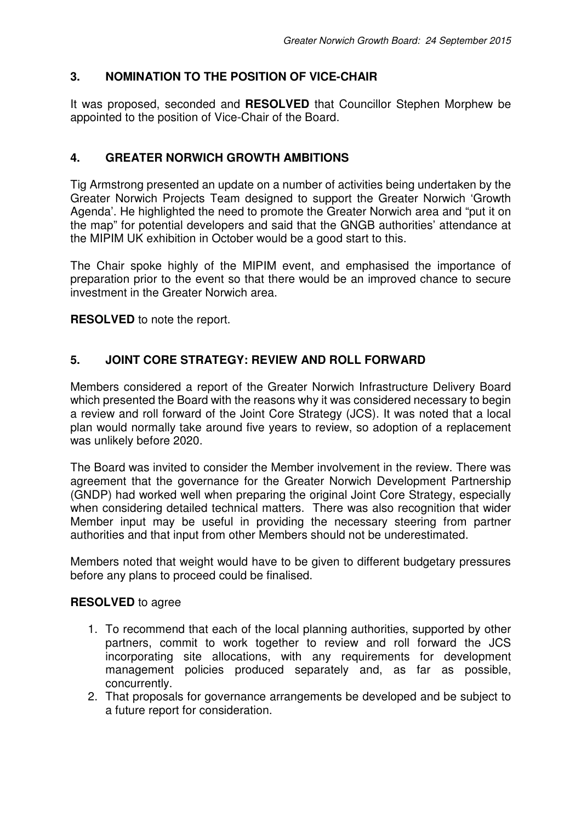# **3. NOMINATION TO THE POSITION OF VICE-CHAIR**

It was proposed, seconded and **RESOLVED** that Councillor Stephen Morphew be appointed to the position of Vice-Chair of the Board.

# **4. GREATER NORWICH GROWTH AMBITIONS**

Tig Armstrong presented an update on a number of activities being undertaken by the Greater Norwich Projects Team designed to support the Greater Norwich 'Growth Agenda'. He highlighted the need to promote the Greater Norwich area and "put it on the map" for potential developers and said that the GNGB authorities' attendance at the MIPIM UK exhibition in October would be a good start to this.

The Chair spoke highly of the MIPIM event, and emphasised the importance of preparation prior to the event so that there would be an improved chance to secure investment in the Greater Norwich area.

**RESOLVED** to note the report.

## **5. JOINT CORE STRATEGY: REVIEW AND ROLL FORWARD**

Members considered a report of the Greater Norwich Infrastructure Delivery Board which presented the Board with the reasons why it was considered necessary to begin a review and roll forward of the Joint Core Strategy (JCS). It was noted that a local plan would normally take around five years to review, so adoption of a replacement was unlikely before 2020.

The Board was invited to consider the Member involvement in the review. There was agreement that the governance for the Greater Norwich Development Partnership (GNDP) had worked well when preparing the original Joint Core Strategy, especially when considering detailed technical matters. There was also recognition that wider Member input may be useful in providing the necessary steering from partner authorities and that input from other Members should not be underestimated.

Members noted that weight would have to be given to different budgetary pressures before any plans to proceed could be finalised.

### **RESOLVED** to agree

- 1. To recommend that each of the local planning authorities, supported by other partners, commit to work together to review and roll forward the JCS incorporating site allocations, with any requirements for development management policies produced separately and, as far as possible, concurrently.
- 2. That proposals for governance arrangements be developed and be subject to a future report for consideration.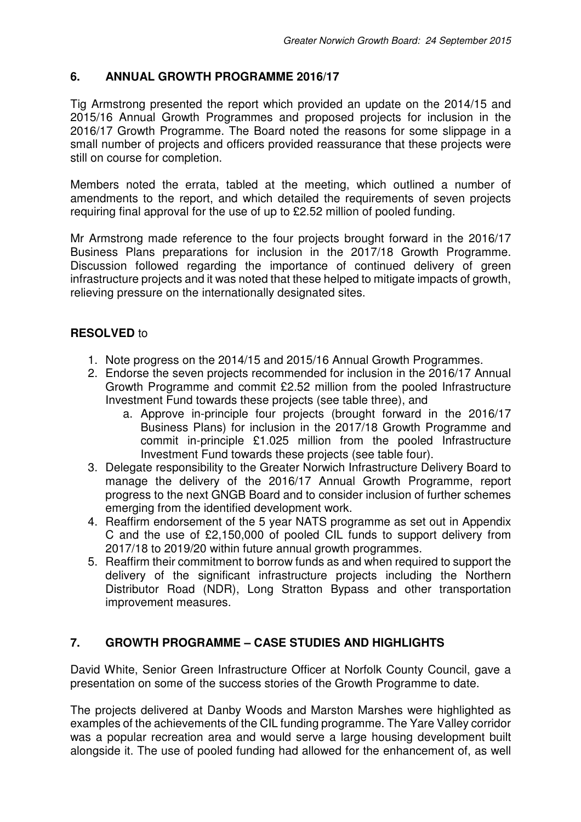# **6. ANNUAL GROWTH PROGRAMME 2016/17**

Tig Armstrong presented the report which provided an update on the 2014/15 and 2015/16 Annual Growth Programmes and proposed projects for inclusion in the 2016/17 Growth Programme. The Board noted the reasons for some slippage in a small number of projects and officers provided reassurance that these projects were still on course for completion.

Members noted the errata, tabled at the meeting, which outlined a number of amendments to the report, and which detailed the requirements of seven projects requiring final approval for the use of up to £2.52 million of pooled funding.

Mr Armstrong made reference to the four projects brought forward in the 2016/17 Business Plans preparations for inclusion in the 2017/18 Growth Programme. Discussion followed regarding the importance of continued delivery of green infrastructure projects and it was noted that these helped to mitigate impacts of growth, relieving pressure on the internationally designated sites.

# **RESOLVED** to

- 1. Note progress on the 2014/15 and 2015/16 Annual Growth Programmes.
- 2. Endorse the seven projects recommended for inclusion in the 2016/17 Annual Growth Programme and commit £2.52 million from the pooled Infrastructure Investment Fund towards these projects (see table three), and
	- a. Approve in-principle four projects (brought forward in the 2016/17 Business Plans) for inclusion in the 2017/18 Growth Programme and commit in-principle £1.025 million from the pooled Infrastructure Investment Fund towards these projects (see table four).
- 3. Delegate responsibility to the Greater Norwich Infrastructure Delivery Board to manage the delivery of the 2016/17 Annual Growth Programme, report progress to the next GNGB Board and to consider inclusion of further schemes emerging from the identified development work.
- 4. Reaffirm endorsement of the 5 year NATS programme as set out in Appendix C and the use of £2,150,000 of pooled CIL funds to support delivery from 2017/18 to 2019/20 within future annual growth programmes.
- 5. Reaffirm their commitment to borrow funds as and when required to support the delivery of the significant infrastructure projects including the Northern Distributor Road (NDR), Long Stratton Bypass and other transportation improvement measures.

# **7. GROWTH PROGRAMME – CASE STUDIES AND HIGHLIGHTS**

David White, Senior Green Infrastructure Officer at Norfolk County Council, gave a presentation on some of the success stories of the Growth Programme to date.

The projects delivered at Danby Woods and Marston Marshes were highlighted as examples of the achievements of the CIL funding programme. The Yare Valley corridor was a popular recreation area and would serve a large housing development built alongside it. The use of pooled funding had allowed for the enhancement of, as well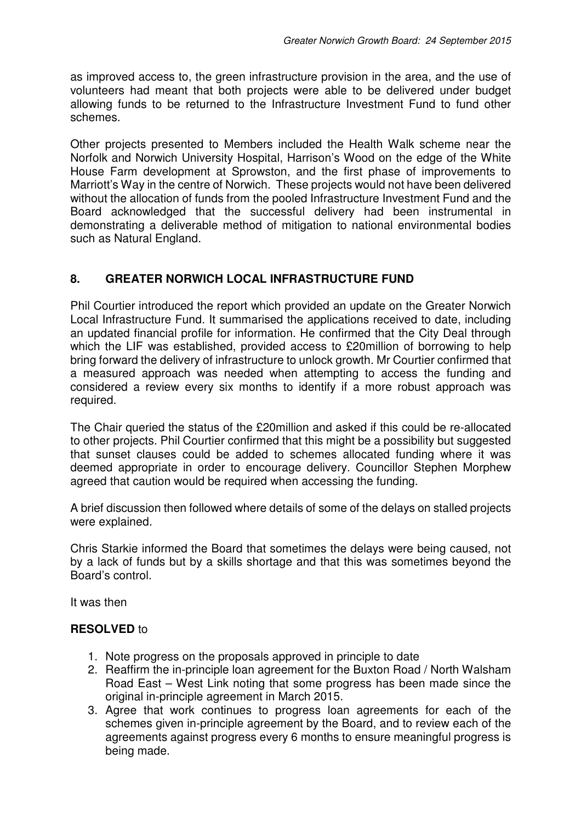as improved access to, the green infrastructure provision in the area, and the use of volunteers had meant that both projects were able to be delivered under budget allowing funds to be returned to the Infrastructure Investment Fund to fund other schemes.

Other projects presented to Members included the Health Walk scheme near the Norfolk and Norwich University Hospital, Harrison's Wood on the edge of the White House Farm development at Sprowston, and the first phase of improvements to Marriott's Way in the centre of Norwich. These projects would not have been delivered without the allocation of funds from the pooled Infrastructure Investment Fund and the Board acknowledged that the successful delivery had been instrumental in demonstrating a deliverable method of mitigation to national environmental bodies such as Natural England.

# **8. GREATER NORWICH LOCAL INFRASTRUCTURE FUND**

Phil Courtier introduced the report which provided an update on the Greater Norwich Local Infrastructure Fund. It summarised the applications received to date, including an updated financial profile for information. He confirmed that the City Deal through which the LIF was established, provided access to £20million of borrowing to help bring forward the delivery of infrastructure to unlock growth. Mr Courtier confirmed that a measured approach was needed when attempting to access the funding and considered a review every six months to identify if a more robust approach was required.

The Chair queried the status of the £20million and asked if this could be re-allocated to other projects. Phil Courtier confirmed that this might be a possibility but suggested that sunset clauses could be added to schemes allocated funding where it was deemed appropriate in order to encourage delivery. Councillor Stephen Morphew agreed that caution would be required when accessing the funding.

A brief discussion then followed where details of some of the delays on stalled projects were explained.

Chris Starkie informed the Board that sometimes the delays were being caused, not by a lack of funds but by a skills shortage and that this was sometimes beyond the Board's control.

It was then

### **RESOLVED** to

- 1. Note progress on the proposals approved in principle to date
- 2. Reaffirm the in-principle loan agreement for the Buxton Road / North Walsham Road East – West Link noting that some progress has been made since the original in-principle agreement in March 2015.
- 3. Agree that work continues to progress loan agreements for each of the schemes given in-principle agreement by the Board, and to review each of the agreements against progress every 6 months to ensure meaningful progress is being made.